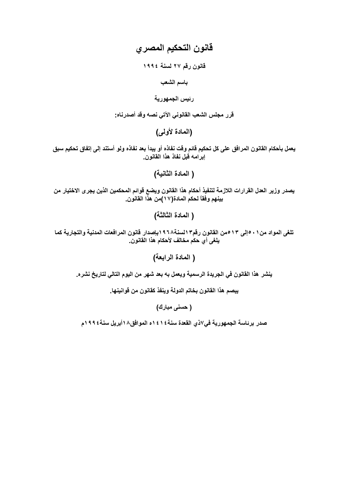# قانون التحكيم المصري

قانون رقم ٢٧ لسنة ١٩٩٤

باسم الشعب

رئيس الجمهورية

قرر مجلس الشعب القانوني الآتي نصه وقد أصدرناه:

(المادة لأولى)

يعمل بأحكام القانون المرافق على كل تحكيم قائم وقت نفاذه أو يبدأ بعد نفاذه ولو أستند إلى إتفاق تحكيم سبق إبرامه قبل نفاذ هذا القانون.

( المادة الثانية)

يصدر وزير العدل القرارات اللازمة لتنفيذ أحكام هذا القانون ويضع قوائم المحكمين الذين يجرى الاختيار من بينهم وفقاً لحكم المادة(١٧)من هذا القانون.

(المادة الثالثة)

تلغي المواد من ١ ٠ ٥إلى ١٣ ٥من القانون رقم٦ السنة١٩٦٨بإصدار قانون المرافعات المدنية والتجارية كما يلغي أي حكم مخالف لأحكام هذا القانون.

( المادة الرابعة)

ينشر. هذا القانون في الجريدة الرسمية ويعمل به بعد شهر من اليوم التالي لتاريخ نشره.

يبصم هذا القانون بخاتم الدولة وينفذ كقانون من قوانينها.

( حسنی مبارك)

صدر برئاسة الجمهورية في٧ذي القعدة سنة١٤١٤ه الموافق١٨أبريل سنة١٩٩٤م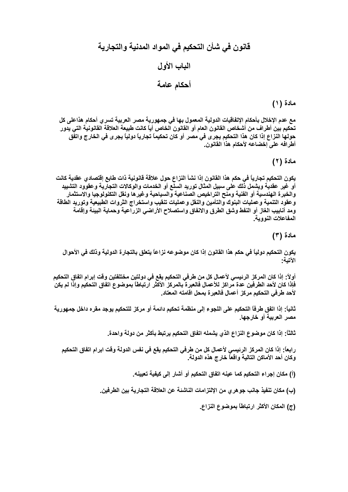# مادة (١)

مع عدم الإخلال بأحكام الإتفاقيات الدولية المعمول بها في جمهورية مصر العربية تسري أحكام هذاعلى كل تحكيم بين أطراف من أشخاص القانون العام أو القانون الخاص أياً كانت طبيعة العلاقة القانونية التي يدور حولها النزاع إذا كان هذا التحكيم يجر ى في مصر أو كان تحكيماً تجارياً دولياً يجر ى في الخارج واتفق أطرافه على إخضاعه لأحكام هذا القانون.

مادة (۲)

يكون التحكيم تجارياً في حكم هذا القانون إذا نشأ النزاع حول علاقة قانونية ذات طابع إقتصادي عقدية كانت أو غير عقدية ويشمل ذلك على سبيل المثال توريد السلع أو الخدمات والوكالات التجارية وعقوود التشييد والخبرة الهندسية أو الفنية ومنح التراخيص الصناعية والسياحية وغيرها ونقل التكنولوجيا والاستثمار وعقود التنمية وعمليات البنوك والتأمين والنقل وعمليات تنقيب واستخراج الثروات الطبيعية وتوريد الطاقة ومد أنابيب الغاز أو النفط وشق الطرق والانفاق واستصلاح الأراضى الزراعية وحماية البينة وإقامة المفاعلات النووية.

مادة (۳)

يكون التحكيم دولياً في حكم هذا القانون إذا كان موضوعه نزاعاً يتعلق بالتجارة الدولية وذلك في الأحوال الآتية:

أولاً: إذا كان المركز الرئيسي لأعمال كل من طرفي التحكيم يقع في دولتين مختلفتين وقت إبرام اتفاق التحكيم فاذا كان لأحد الطرفين عدة مراكز للأعمال فالعبرة بالمركز الأكثر ارتباطاً بموضوع اتفاق التحكيم وإذا لم يكن لأحد طرفى التحكيم مركز أعمال فالعبرة بمحل اقامته المعتاد.

ثانياً: إذا اتفق طرفاً التحكيم على اللجوع إلى منظمة تحكيم دائمة أو مركز للتحكيم يوجد مقره داخل جمهورية مصر العربية أو خارجها.

ثالثاً: إذا كان موضوع النزاع الذي يشمله اتفاق التحكيم يرتبط بأكثر من دولة واحدة.

رابعاً: إذا كان المركز الرئيسي لأعمال كل من طرفي التحكيم يقع في نفس الدولة وقت ابرام اتفاق التحكيم وكان أحد الأماكن التالية واقعاً خارج هذه الدولة.

(أ) مكان إجراء التحكيم كما عينه اتفاق التحكيم أو أشار إلى كيفية تعيينه.

(ب) مكان تنفيذ جانب جو هر ي من الإلتزامات الناشئة عن العلاقة التجارية بين الطرفين.

(ج) المكان الأكثر ارتباطاً بموضوع النزاع.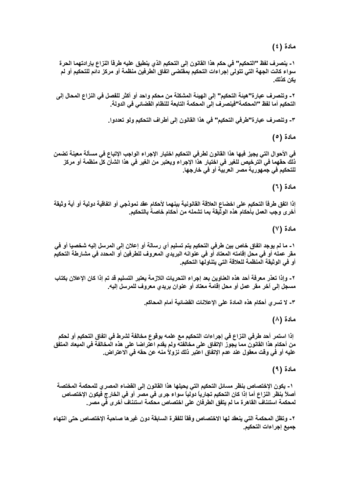مادة (٤)

١- ينصرف لفظ "التحكيم" في حكم هذا القانون إلى التحكيم الذي ينطبق عليه طرفاً النزاع بإرادتهما الحرة سواع كانت الجهة التي تتولى إجراءات التحكيم بمقتضى اتفاق الطرفين منظمة أو مركز دائم للتحكيم أو لم يكن كذلك.

٢- وتنصر.ف عبارة"هيئة التحكيم" إلى الهيئة المشكلة من محكم واحد أو أكثر للفصل في النزاع المحال إلى التحكيم أما لفظ "المحكمة"فينصرف إلى المحكمة التابعة للنظام القضائي في الدولة.

٣- وتنصرف عبارة"طرفي التحكيم" في هذا القانون إلى أطراف التحكيم ولو تعددوا.

مادة (٥)

في الأحوال التي يجيز فيها هذا القانون لطرفي التحكيم اختيار الإجراء الواجب الإتباع في مسألة معينة تضمن ذلك حقهما في الترخيص للغير في اختيار هذا الإجراء ويعتبر من الغير في هذا الشأن كل منظمة أو مركز للتحكيم في جمهورية مصر العربية أو في خارجها.

مادة (٦)

إذا اتفق طرفاً التحكيم على اخضاع العلاقة القانونية بينهما لأحكام عقد نموذجي أو اتفاقية دولية أو أية وثيقة أخر ى وجب العمل بأحكام هذه الوثيقة بما تشمله من أحكام خاصة بالتحكيم.

مادة (٧)

١- ما لم يوجد اتفاق خاص بين طرفي التحكيم يتم تسليم أي رسالة أو إعلان إلى المرسل إليه شخصيا أو في مقر عمله أو في محل إقامته المعتاد أو في عنوانه البريدي المعروف للطرفين أو المحدد في مشارطة التحكيم أو في الوثيقة المنظمة للعلاقة التي يتناولها التحكيم.

٢ ـ وإذا تعذر معرفة أحد هذه العناوين بعد إجراء التحريات اللازمة يعتبر التسليم قد تم إذا كان الإعلان بكتاب مسجل إلى أخر مقر عمل أو محل إقامة معتاد أو عنوان بريدي معروف للمرسل إليه.

٣- لا تسرى أحكام هذه المادة على الإعلانات القضائية أمام المحاكم.

مادة (۸)

إذا استمر أحد طرفي النزاع في إجراءات التحكيم مع علمه بوقوع مخالفة لشرط في اتفاق التحكيم أو لحكم من أحكام هذا القانون مما يجوز الإتفاق على مخالفته ولم يقدم اعتراضا على هذه المخالفة في الميعاد المتفق عليه أو في وقت معقول عند عدم الإتفاق اعتبر ذلك نزولاً منه عن حقه في الاعتراض.

مادة (٩)

١- يكون الإختصاص بنظر مسائل التحكيم التي يحيلها هذا القانون إلى القضاء المصرى للمحكمة المختصة أصلاً بنظر النزاع أما إذا كان التحكيم تجارياً دولياً سواء جرى في مصر أو في الخارج فيكون الإختصاص لمحكمة استئناف القاهرة ما لم يتفق الطرفان على اختصاص محكمة استئناف أخرى في مصر.

٢- وتظل المحكمة التي ينعقد لها الاختصاص وفقاً للفقرة السابقة دون غيرها صاحبة الإختصاص حتى انتهاء جميع إجراءات التحكيم.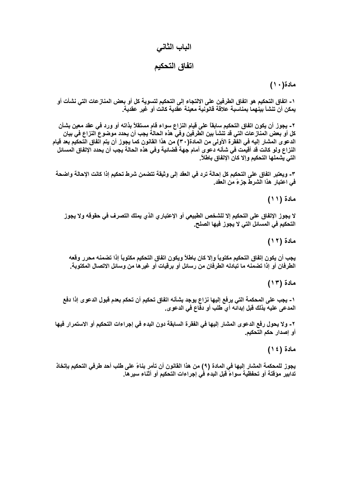# الباب الثاني اتفاق التحكيم

# مادة(۱۰)

١ ـ اتفاق التحكيم هو اتفاق الطرفين على الالتجاء إلى التحكيم لتسوية كل أو بعض المناز عات التي نشأت أو يمكن أن تنشأ بينهما بمناسبة علاقة قانونية معينة عقدية كانت أو غير عقدية.

٢ ـ يجوز أن يكون اتفاق التحكيم سابقاً على قيام النزاع سواء قام مستقلاً بذاته أو ورد في عقد معين بشأن كل أو بعض المناز عات التي قد تنشأ بين الطِّرفين وفي هذه الحالةُ يجب أن يحدد موضوع النزاع في بيان الدعوى المشار إليه في الفقرة الأولى من المادة( ٣٠) من هذا القانون كما يجوز أن يتم اتفاق التحكيم بعد قيام النزاع ولو كانت قد أقيمت في شأنـه دعوى أمـام جـهة قضائيـة وفي هذه الحالـة يجب أن يـحدد الإتفاق المسـائل التي يشملها التحكيم وإلا كان الإتفاق باطلاً.

٣- ويعتبر اتفاق على التحكيم كل إحالة ترد في العقد إلى وثيقة تتضمن شرط تحكيم إذا كانت الإحالة واضحة في اعتبار هذا الشرط جزءً من العقد.

مادة (١١)

لا يجوز الإتفاق على التحكيم إلا للشخص الطبيعي أو الإعتبار ، الذي يملك التصرف في حقوقه ولا يجوز التحكيم في المسائل التي لا يجوز فيها الصلح.

مادة (١٢)

يجب أن يكون إتفاق التحكيم مكتوباً وإلا كان باطلاً ويكون اتفاق التحكيم مكتوباً إذا تضمنه محرر وقعه الطرفان أو إذا تضمنه ما تبادله الطرفان من رسائل أو برقيات أو غيرها من وسائل الاتصال المكتوبة.

مادة (١٣)

١- يجب على المحكمة التي يرفع إليها نزاع يوجد بشأنه اتفاق تحكيم أن تحكم بعدم قبول الدعوى إذا دفع المدعى عليه بذلك قبل إبدائه أي طلب أو دفاع في الدعوى.

٢- ولا يحول رفع الدعو ى المشار إليها في الفقرة السابقة دون البدء في إجراءات التحكيم أو الاستمرار فيها أو إصدار حكم التحكيم.

مادة (١٤)

يجوز للمحكمة المشار إليها في المادة (٩) من هذا القانون أن تأمر بناءً على طلب أحد طرفي التحكيم بإتخاذ تدابير. موقتة أو تحفظية سواءً قبل البدء في إجراءات التحكيم أو أثناء سير ها.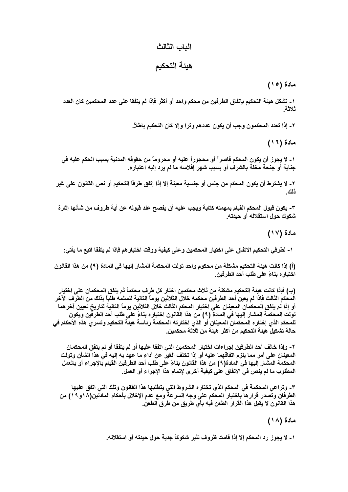### الباب الثالث

### هيئة التحكيم

مادة (١٥)

١ ـ تشكل هيئة التحكيم بإتفاق الطرفين من محكم واحد أو أكثر فإذا لم يتفقا على عدد المحكمين كان العدد ثلاثة

٢ ـ إذا تعدد المحكمون وجب أن يكون عددهم وترا وإلا كان التحكيم باطلاً.

مادة (١٦)

١- لا يجوز أن يكون المحكم قاصراً أو محجوراً عليه أو محروماً من حقوقه المدنية بسبب الحكم عليه في جناية أو جنحة مخلة بالشرف أو بسبب شهر إفلاسه ما لم يرد إليه اعتباره.

٢ - لا يشترط أن يكون المحكم من جنس أو جنسية معينة إلا إذا إتفق طرفًا التحكيم أو نص القانون على غير ذلك

٣- يكون قبول المحكم القيام بمهمته كتابة ويجب عليه أن يفصح عند قبوله عن أية ظروف من شأنها إثارة شكوك حول استقلاله أو حيدته.

مادة (١٧)

١- لطرفي التحكيم الاتفاق على اختيار المحكمين وعلى كيفية ووقت اختيار هم فإذا لم يتفقا اتبع ما يأتى:

(أ) إذا كانت هيئة التحكيم مشكلة من محكوم واحد تولت المحكمة المشار إليها في المادة (٩) من هذا القانون اختيار ه بناءً على طلب أحد الطرفين.

(ب) فإذا كانت هيئة التحكيم مشكلة من ثلاث محكمين اختار كل طرف محكماً ثم يتفق المحكمان على اختيار المحكم الثالث فإذا لم يعين أحد الطرفين محكمه خلال الثلاثين يوماً التالية لتسلمه طلباً بذلك من الطرف الآخر أو إذا لم يتفق المحكمان المعينان على اختيار المحكم الثالث خلال الثلاثين يوماً التالية لتاريخ تعيين آخر هما تولت المحكمة المشار إليها في المادة (٩) من هذا القانون اختياره بناءً على طلب أحد الطرفين ويكون للمحكم الذي إختاره المحكمان المعينان أو الذي اختارته المحكمة رئاسة هيئة التحكيم وتسرى هذه الأحكام في حالة تشكيل هيئة التحكيم من أكثر. هيئة من ثلاثة محكمين.

٢ ـ وإذا خالف أحد الطرفين إجراءات اختيار المحكمين التي اتفقا عليها أو لم يتفقا أو لم يتفق المحكمان المعينان على أمر مما يلزم اتفاقهما عليه أو إذا تخلف الغير عن أداء ما عهد به اليه في هذا الشأن وتولت المحكمة المشار إليها في المادة(٩) من هذا القانون بناءً على طلب أحد الطرفين القيام بالإجراء أو بالعمل المطلوب ما لم ينص في الاتفاق على كيفية أخرى لإتمام هذا الإجراء أو العمل.

٣- وتراعى المحكمة في المحكم الذي تختاره الشروط التي يتطلبها هذا القانون وتلك التي اتفق عليها الطرفان وتصدر قرار ها باختيار المحكم على وجه السرعة ومع عدم الإخلال بأحكام المادتين(١٨و ١٩) من هذا القانون لا يقبل هذا القرار الطعن فيه بأي طريق من طرق الطعن.

مادة (١٨)

١ ـ لا يجوز رد المحكم إلا إذا قامت ظروف تثير شكوكاً جدية حول حيدته أو استقلاله.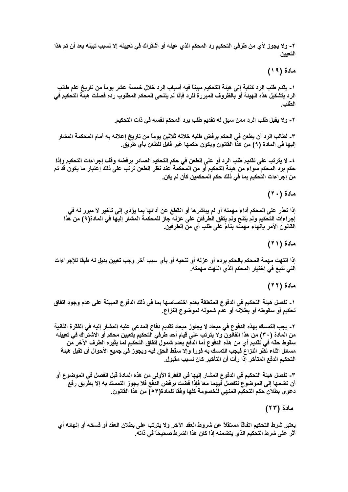٢ ـ ولا يجوز لأي من طرفي التحكيم رد المحكم الذي عينه أو اشتراك في تعيينه إلا لسبب تبينه بعد أن تم هذا التعبين

مادة (١٩)

١- يقدم طلب الرد كتابة إلى هيئة التحكيم مبيناً فيه أسباب الرد خلال خمسة عشر يوماً من تاريخ علم طالب الرد بتشكيل هذه الهيئة أو بالظروف المبررة للرد فإذا لم يتنحى المحكم المطلوب رده فصلت هيئة التحكيم في الطلب

٢ ـ ولا يقبل طلب الرد ممن سبق له تقديم طلب برد المحكم نفسه في ذات التحكيم.

٣- لطالب الرد أن يطعن في الحكم برفض طلبه خلاله ثلاثين يوماً من تاريخ إعلانه به أمام المحكمة المشار إليها في المادة (٩) من هذا القانون ويكون حكمها غير قابل للطعن بأي طريق.

٤- لا يترتب على تقديم طلب الرد أو على الطعن في حكم التحكيم الصادر برفضه وقف إجراءات التحكيم وإذا حكم برد المحكم سواء من هيئة التحكيم أو من المحكمة عند نظر الطعن ترتب على ذلك إعتبار ما يكون قد تم من إجراءات التحكيم بما في ذلك حكم المحكمين كأن لم يكن.

#### مادة (٢٠)

إذا تعذر على المحكم أداء مهمته أو لم يباشر ها أو انقطع عن أدائها بما يؤدي إلى تأخير لا مبرر له في إجراءات التحكيم ولم يتنح ولم يتفق الطرفان على عزله جاز للمحكمة المشار إليها في المادة(٩) من هذا القانون الأمر بإنـهاء مـهمتـه بنـاءً على طلب أي من الطرفين.

مادة (٢١)

إذا انتهت مهمة المحكم بالحكم برده أو عزله أو تنحيه أو بأي سبب آخر وجب تعيين بديل له طبقا للإجراءات التي تتبع في اختيار المحكم الذي انتهت مهمته.

مادة (٢٢)

١ ـ تفصل هيئة التحكيم في الدفوع المتعلقة بعدم اختصاصها بما في ذلك الدفوع المبينة على عدم وجود اتفاق تحكيم أو سقوطه أو بطلانه أو عدم شموله لموضوع النزاع.

٢ ـ يجب التمسك بهذه الدفوع في ميعاد لا يجاوز ميعاد تقديم دفاع المدعى عليه المشار إليه في الفقرة الثانية من المادة (٣٠) من هذا القانون ولا يترتب على قيام أحد طرفي التحكيم بتعيين محكم أو الاشتراك في تعيينه سقوط حقه في تقديم أي من هذه الدفوع أما الدفع بعدم شمول اتفاق التحكيم لما يثيره الطرف الآخر من مسائل أثناء نظر النزاع فيجب التمسك به فوراً وإلا سقط الحق فيه ويجوز في جميع الأحوال أن تقبل هيئة التحكيم الدفع المتأخر إذا رأت أن التأخير كان لسبب مقبول.

٣- تفصل هيئة التحكيم في الدفوع المشار إليها في الفقرة الأولى من هذه المادة قبل الفصل في الموضوع أو أن تضمها إلى الموضوع لتفصل فيهما معا فإذا قضّت برفض الدفّع فلا يجوز التمسك به إلا بطّريق رفع دعوى بطلان حكم التحكيم المنهى للخصومة كلها وفقا للمادة(٥٣) من هذا القانون.

مادة (٢٣)

يعتبر شرط التحكيم اتفاقاً مستقلاً عن شروط العقد الآخر ولا يترتب على بطلان العقد أو فسخه أو إنهائه أي أثر على شرط التحكيم الذي يتضمنه إذا كان هذا الشرط صحيحاً في ذاته.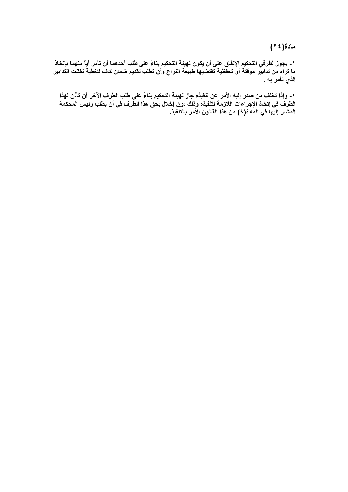مادة(٢٤)

١- يجوز لطرفي التحكيم الإتفاق على أن يكون لهيئة التحكيم بناءً على طلب أحدهما أن تأمر أياً منهما بإتخاذ<br>ما تراه من تدابير موقتة أو تحفظية تقتضيها طبيعة النزاع وأن تطلب تقديم ضمان كاف لتغطية نفقات التدابير الذي تأمر به .

٢- وإذا تخلف من صدر إليه الأمر عن تنفيذه جاز لهيئة التحكيم بناءً على طلب الطرف الآخر أن تأذن لهذا<br>الطرف في إتخاذ الإجراءات اللازمة لتنفيذه وذلك دون إخلال بحق هذا الطرف في أن يطلب رئيس المحكمة المشار إليها في المادة(٩) من هذا القانون الأمر بالتنفيذ.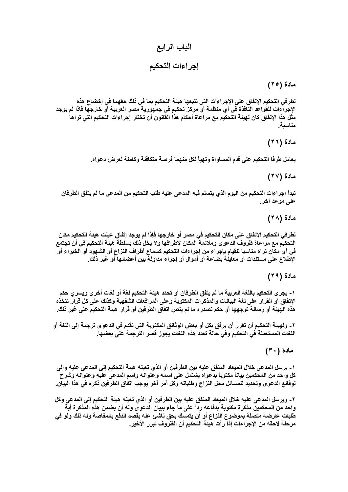# الباب الرابع

إجراءات التحكيم

مادة (٢٥)

لطرفي التحكيم الإتفاق على الإجراءات التي تتبعها هيئة التحكيم بما في ذلك حقهما في إخضاع هذه الإجراءات للقواعد النافذة في أي منظمة أو مركز تحكيم في جمهورية مصر العربية أو خارجها فإذا لم يوجد مثل هذا الإتفاق كان لهيئة التحكيم مع مراعاة أحكام هذا القانون أن تختار إجراءات التحكيم التي تراها مناسىة

مادة (٢٦)

يعامل طرفا التحكيم على قدم المساواة وتهيأ لكل منهما فرصة متكافئة وكاملة لعرض دعواه.

مادة (٢٧)

تبدأ اجراءات التحكيم من اليوم الذي يتسلم فيه المدعى عليه طلب التحكيم من المدعي ما لم يتفق الطرفان على موعد آخر.

مادة (۲۸)

لطرفي التحكيم الإتفاق على مكان التحكيم في مصر أو خارجها فإذا لم يوجد إتفاق عينت هيئة التحكيم مكان التحكيم مع مراعاة ظروف الدعوى وملائمة المكان لأطرافها ولا يخل ذلك بسلطة هيئة التحكيم في أن تجتمع في أي مكان تراه مناسبا للقيام بإجراء من إجراءات التحكيم كسماع أطراف النزاع أو الشهود أو الخبراء أو الإطلاع على مستندات أو معاينة بضاعة أو أموال أو إجراء مداولة بين أعضائها أو غير ذلك.

مادة (٢٩)

١- يجرى التحكيم باللغة العربية ما لم يتفق الطرفان أو تحدد هيئة التحكيم لغة أو لغات أخرى ويسرى حكم الإتفاق أو القرار على لغة البيانات والمذكرات المكتوبة وعلى المرافعات الشفهية وكذلك على كل قرار تتخذه هذه الهيئة أو رسالة توجهها أو حكم تصدره ما لم ينص اتفاق الطرفين أو قرار هيئة التحكيم على غير ذلك.

٢ ـ ولـهيئـة التحكيم أن تقرر أن يرفق بكل أو بعض الوثائق المكتوبـة التي تقدم في الدعو ي ترجمـة إلـي اللـغة أو اللغات المستعملة في التحكيم وفي حالة تعدد هذه اللغات يجوز قصر الترجمة على بعضها.

مادة (٣٠)

١- يرسل المدعى خلال الميعاد المتفق عليه بين الطرفين أو الذي تعينه هيئة التحكيم إلى المدعى عليه وإلى كل واحد من المحكمين بياناً مكتوباً بدعواه يشتمل على اسمه وعنوانه واسم المدعى عليه وعنوانه وشرح لوقائع الدعو ى وتحديد للمسائل محل النزاع وطلباته وكل أمر آخر يوجب اتفاق الطرفين ذكره في هذا البيان.

٢- ويرسل المدعى عليه خلال الميعاد المتفق عليه بين الطرفين أو الذي تعينه هيئة التحكيم إلى المدعى وكل واحد من المحكمين مذكرة مكتوبة بدفاعه رداً على ما جاء ببيان الدعوى وله أن يضمن هذه المذكرة أية طلبات عارضة متصلة بموضوع النزاع أو أن يتمسك بحق ناشئ عنه بقصد الدفع بالمقاصة وله ذلك ولو في مرحلة لاحقه من الإجراءات إذا رأت هيئة التحكيم أن الظروف تبرر الأخير.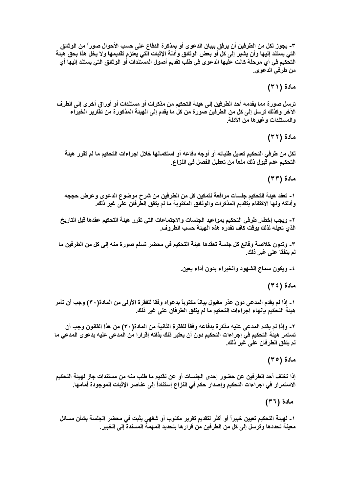٣- يجوز لكل من الطرفين أن يرفق ببيان الدعوى أو بمذكرة الدفاع على حسب الأحوال صوراً من الوثانق التي يستند إليها وأن يشير إلى كل أو بعض الوثائق وأدلة الإثبات التي يعتزم تقديمها ولا يخل هذا بحق هيئة التحكيم في أي مرحلة كانت عليها الدعوى في طلب تقديم أصول المستندات أو الوثائق التي يستند إليها أي من طرفي الدعو .

مادة (٣١)

ترسل صورة مما يقدمه أحد الطرفين إلى هيئة التحكيم من مذكرات أو مستندات أو أوراق أخرى إلى الطرف الآخر وكذلك ترسل إلى كل من الطرفين صورة من كل ما يقدم إلى الهيئة المذكورة من تقارير الخبراء و المستندات و غير ها من الأدلة.

مادة (٣٢)

لكل من طرفي التحكيم تعديل طلباته أو أوجه دفاعه أو استكمالها خلال اجراءات التحكيم ما لم تقرر هيئة التحكيم عدم قبول ذلك منعاً من تعطيل الفصل في النزاع.

مادة (٣٣)

١- تعقد هيئة التحكيم جلسات مرافعة لتمكين كل من الطرفين من شرح موضوع الدعوى وعرض حججه وأدلته ولها الاكتفاء بتقديم المذكرات والوثائق المكتوبة ما لم يتفق الطِّرفان علِّي غير ذلك.

٢- ويجب إخطار طرفي التحكيم بمواعيد الجلسات والاجتماعات التي تقرر هيئة التحكيم عقدها قبل التاريخ الذي تعينه لذلك بوقت كاف تقدر ه هذه الـهيئة حسب الظروف.

٣- وتدون خلاصة وقائع كل جلسة تعقدها هيئة التحكيم في محضر تسلم صورة منه إلى كل من الطرفين ما لم يتفقا على غير ذلك.

٤- ويكون سماع الشهود والخبراء بدون أداء يعين.

مادة (٣٤)

١- إذا لم يقدم المدعى دون عذر مقبول بياناً مكتوباً بدعواه وفقا للفقرة الأولى من المادة(٣٠) وجب أن تأمر هيئة التحكيم بإنـهاء اجراءات التحكيم ما لم يتفق الطرفان على غير ذلك.

٢ ـ وإذا لم يقدم المدعى عليه مذكرة بدفاعه وفقًا للفقرة الثانية من المادة( ٣٠) من هذا القانون وجب أن تستمر. هيئة التحكيم في إجراءات التحكيم دون أن يعتبر. ذلك بذاته إقرارا من المدعى عليه بدعوى المدعى ما لم يتفق الطرفان على غير ذلك.

مادة (٣٥)

إذا تخلف أحد الطرفين عن حضور إحدى الجلسات أو عن تقديم ما طلب منه من مستندات جاز لهيئة التحكيم الاستمرار في اجراءات التحكيم وإصدار حكم في النزاع إستناداً إلى عناصر الإثبات الموجودة أمامها.

مادة (٣٦)

١- لهينة التحكيم تعيين خبيراً أو أكثر لتقديم تقرير مكتوب أو شفهى يثبت في محضر الجلسة بشأن مسائل معينة تحددها وترسل إلى كل من الطرفين من قرارها بتحديد المهمة المسندة إلى الخبير.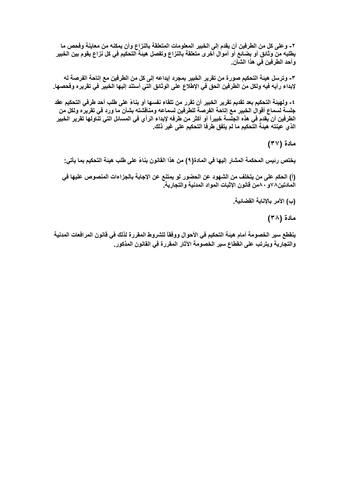٢- وعلى كل من الطرفين أن يقدم إلى الخبير المعلومات المتعلقة بالنزاع وأن يمكنه من معاينة وفحص ما يطلبه من وثائق أو بضائع أو أموال أخرى متعلقة بالنزاع وتفصل هيئة التحكيم في كل نزاع يقوم بين الخبير وأحد الطرفين في هذا الشأن.

٣- وترسل هيئة التحكيم صورة من تقرير الخبير بمجرد إيداعه إلى كل من الطرفين مع إتاحة الفرصة له لإبداء رأيه فيه ولكل من الطرفين الحق في الإطلاع على الوثائق التي أستند إليها الخبير في تقريره وفحصها.

٤- ولهيئة التحكيم بعد تقديم تقرير الخبير أن تقرر من تلقاء نفسها أو بناءً على طلب أحد طرفي التحكيم عقد جلسة لسماع أقوال الخبير مع إتاحة الفرصة للطرفين لسماعه ومناقشته بشأن ما ورد في تقريره ولكل من الطرفين أن يقدم في هذه الجلسة خبيراً أو أكثر من طرفه لإبداء الرأي في المسائل التي تناولها تقرير الخبير الذي عينته هيئة التحكيم ما لم يتفق طرفا التحكيم على غير ذلك.

مادة (٣٧)

يختص رئيس المحكمة المشار إليها في المادة(٩) من هذا القانون بناءً على طلب هيئة التحكيم بما يأتي:

(أ) الحكم على من يتخلف من الشهود عن الحضور لو يمتنع عن الإجابة بالجزاءات المنصوص عليها في المادتين٨٧و ٨٠من قانون الإثبات المواد المدنية والتجارية.

(ب) الأمر بالإنابة القضائية.

مادة (۳۸)

ينقطع سير الخصومة أمام هيئة التحكيم في الأحوال ووفقاً للشروط المقررة لذلك في قانون المرافعات المدنية والتجارية ويترتب على انقطاع سير الخصومة الآثار المقررة في القانون المذكور.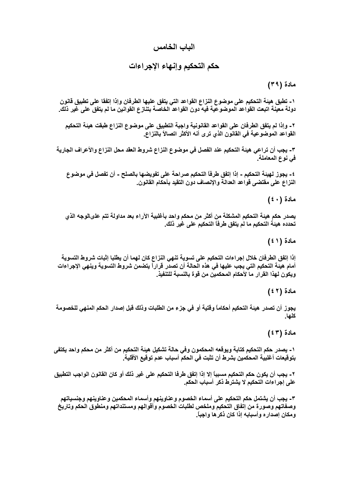## الباب الخامس

# حكم التحكيم وإنهاء الإجراءات

#### مادة (٣٩)

١- تطبق هيئة التحكيم على موضوع النزاع القواعد التي يتفق عليها الطرفان وإذا إتفقا على تطبيق قانون دولة معينة اتبعت القواعد الموضوعية فيه دون القواعد الخاصة بتنازع القوانين ما لم يتفق على غير ذلك.

٢- وإذا لم يتفق الطرفان على القواعد القانونية واجبة التطبيق على موضوع النزاع طبقت هيئة التحكيم القواعد الموضوعية في القانون الذي ترى أنه الأكثر اتصالاً بالنزاع.

٣- يجب أن تراعى هيئة التحكيم عند الفصل في موضوع النزاع شروط العقد محل النزاع والأعراف الجارية في نوع المعاملة.

٤- يجوز لهيئة التحكيم - إذا إتفق طرفاً التحكيم صراحة على تفويضها بالصلح - أن تفصل في موضوع النزاع على مقتضى قواعد العدالة والإنصاف دون التقيد بأحكام القانون.

مادة (٤٠)

يصدر حكم هيئة التحكيم المشكلة من أكثر من محكم واحد بأغلبية الآراء بعد مداولة تتم علىالوجه الذي تحدده هيئة التحكيم ما لم يتفق طرفاً التحكيم على غير ذلك.

مادة (١ ٤ )

إذا إتفق الطرفان خلال إجراءات التحكيم على تسوية تنهى النزاع كان لهما أن يطلبا إثبات شروط التسوية أمام هيئة التحكيم التي يجب عليها في هذه الحالة أن تصدر قراراً يتضمن شروط التسوية وينهى الإجراءات ويكون لهذا القرار ما لأحكام المحكمين من قوة بالنسبة للتنفيذ.

مادة (٢ ٤ )

يجوز أن تصدر هيئة التحكيم أحكاماً وقتية أو في جزء من الطلبات وذلك قبل إصدار الحكم المنهي للخصومة كلها.

مادة (٤٣)

١- يصدر حكم التحكيم كتابة ويوقعه المحكمون وفى حالة تشكيل هيئة التحكيم من أكثر من محكم واحد يكتفى بتوقيعات أغلبية المحكمين بشرط أن تثبت في الحكم أسباب عدم توقيع الأقلية.

٢ ـ يجب أن يكون حكم التحكيم مسبباً إلا إذا إتفق طرفًا التحكيم على غير ذلك أو كان القانون الواجب التطبيق على إجراءات التحكيم لا يشترط ذكر أسباب الحكم.

٣- يجب أن يشتمل حكم التحكيم على أسماء الخصوم وعناوينهم وأسماء المحكمين وعناوينهم وجنسياتهم وصفاتهم وصورة من إتفاق التحكيم وملخص لطلبات الخصوم وأقوالهم ومستنداتهم ومنطوق الحكم وتاريخ ومكان إصداره وأسبابه إذا كان ذكرها واجباً.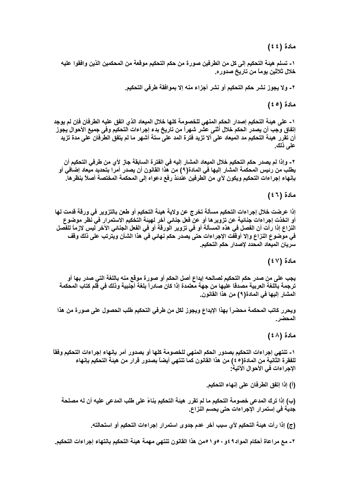مادة (٤٤)

١- تسلم هيئة التحكيم إلى كل من الطرفين صورة من حكم التحكيم موقعة من المحكمين الذين وافقوا عليه خلال ثلاثين يوما من تاريخ صدوره.

٢- ولا يجوز نشر حكم التحكيم أو نشر أجزاء منه إلا بموافقة طرفي التحكيم.

مادة (٥ ٤ )

١- على هيئة التحكيم إصدار الحكم المنهى للخصومة كلها خلال الميعاد الذي اتفق عليه الطرفان فإن لم يوجد إتفاق وجب أن يصدر الحكم خلال أثنى عثىر شهراً من تاريخ بدء إجراءات التحكيم وفي جميع الأحوال يجوز أن تقرر هيئة التحكيم مد الميعاد على ألا تزيد فترة المد على ستة أشهر ما لم يتفق الطرفان على مدة تزيد علم ذلك.

٢ ـ وإذا لم يصدر حكم التحكيم خلال الميعاد المشار إليه في الفترة السابقة جاز لأي من طرفي التحكيم أن يطلب من رئيس المحكمة المشار إليها في المادة(٩) من هذا القانون أن يصدر أمرا بتحديد ميعاد إضافي أو بإنـهاء إجراءات التحكيم ويكون لأي من الطرفين عندئذ رفع دعواه إلى المحكمة المختصة أصلأ بنظرها.

مادة (٢ ٤ )

إذا عرضت خلال إجراءات التحكيم مسألة تخرج عن ولاية هيئة التحكيم أو طعن بالتزوير في ورقة قدمت لها أو اتخذت إجراءات جنائية عن تزويرها أو عن فعل جنائي آخر لهيئة التخكيم الاستمرار في نظر موضوع النزاع إذا رأت أن الفصل في هذه المسألة أو في تزوير الورقة أو في الفعل الجنائي الآخر ليس لازماً للفصل في موضوع النزاع وإلا أوقفت الإجراءات حتى يصدر حكم نهائي في هذا الشأن ويترتب على ذلك وقف سريان الميعاد المحدد لإصدار حكم التحكيم.

هادة (٤٧)

يجب على من صدر حكم التحكيم لصالحه إيداع أصل الحكم أو صورة موقع منه باللغة التى صدر بها أو ترجمة باللغة العربية مصدقا عليها من جهة معتمدة إذا كان صادراً بلغة أجنبية وذلك في قلم كتاب المحكمة المشار اليها في المادة( ٩ ) من هذا القانون.

ويحرر كاتب المحكمة محضراً بهذا الإيداع ويجوز لكل من طرفي التحكيم طلب الحصول على صورة من هذا المحضر .

مادة (٤٨)

١- تنتهي إجراءات التحكيم بصدور الحكم المنهي للخصومة كلها أو بصدور أمر بإنهاء إجراءات التحكيم وفقاً للفقرة الثانية من المادة(٤٥) من هذا القانون كما تنتهي أيضاً بصدور قرار من هيئة التحكيم بإنهاء الإجراءات في الأحوال الآتية:

(أ) إذا إتفق الطرفان على إنهاء التحكيم.

(ب) إذا ترك المدعى خصومة التحكيم ما لم تقرر هيئة التحكيم بناءً على طلب المدعى عليه أن له مصلحة جدية في إستمرار الإجراءات حتى يحسم النزاع.

(ج) إذا رأت هيئة التحكيم لأي سبب آخر عدم جدوى استمرار إجراءات التحكيم أو استحالته.

٢- مع مراعاة أحكام المواد٩ ٤و ٥٠و ١ 0من هذا القانون تنتهي مهمة هيئة التحكيم بانتهاء إجراءات التحكيم.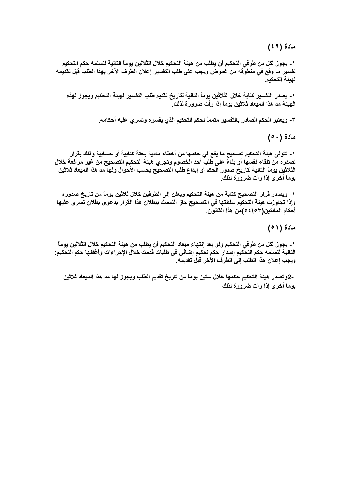مادة (٤٩)

١- يجوز لكل من طرفي التحكيم أن يطلب من هيئة التحكيم خلال الثلاثين يوماً التالية لتسلمه حكم التحكيم تفسير ما وقع في منطوقه من غموض ويجب على طلب التفسير إعلان الطرف الآخر بهذا الطلب قبل تقديمه لهيئة التحكيم.

٢ ـ يصدر التفسير كتابة خلال الثلاثين يوماً التالية لتاريخ تقديم طلب التفسير لـهيئة التحكيم ويجوز لـهذه الـهيئة مد هذا الميعاد ثلاثين يوماً إذا رأت ضرورة لذلك.

٣- ويعتبر الحكم الصادر بالتفسير متمماً لحكم التحكيم الذي يفسره وتسرى عليه أحكامه.

مادة (٥٠)

١- تتولى هيئة التحكيم تصحيح ما يقع في حكمها من أخطاء مادية بحتة كتابية أو حسابية وذلك بقرار تصدره من تلقاء نفسها أو بناءً على طلب أحد الخصوم وتجري هيئة التحكيم التصحيح من غير مرافعة خلال الثلاثين يوماً التالية لتاريخ صدور الحكم أو إيداع طلب التصحيح بحسب الأحوال ولها مد هذا الميعاد ثلاثين يوماً أخرى إذا رأت ضرورة لذلك.

٢- ويصدر قرار التصحيح كتابة من هيئة التحكيم ويعلن إلى الطرفين خلال ثلاثين يوماً من تاريخ صدوره وإذا تجاوزت هيئة التحكيم سلطتها في التصحيح جاز التمسك ببطلان هذا القرار بدعوى بطلان تسري عليها أحكام المادتين(١٥٣) ٤٥من هذا القانون.

مادة (٥١)

١- يجوز لكل من طرفي التحكيم ولو بعد إنتهاء ميعاد التحكيم أن يطلب من هيئة التحكيم خلال الثلاثين يوماً التالية لتسلمه حكم التحكيم إصدار حكم تحكيم إضافي في طلبات قدمت خلال الإجراءات وأغفلها حكم التحكيم: ويجب إعلان هذا الطلب إلى الطرف الآخر قبل تقديمه.

-2وتصدر هيئة التحكيم حكمها خلال ستين يوماً من تاريخ تقديم الطلب ويجوز لها مد هذا الميعاد ثلاثين يوما أخرى إذا رأت ضرورة لذلك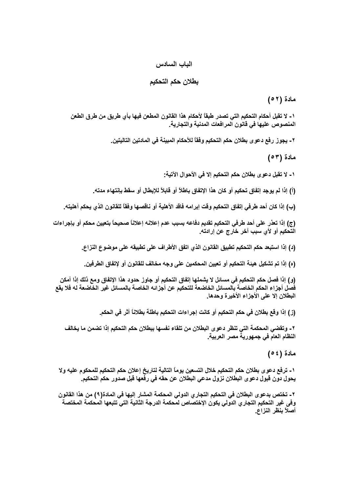#### الباب السادس

#### بطلان حكم التحكيم

مادة (٢٥)

١ ـ لا تقبل أحكام التحكيم التي تصدر طبقاً لأحكام هذا القانون المطعن فيها بأي طريق من طرق الطعن المنصوص عليها في قانون المرافعات المدنية والتجارية.

٢ ـ يجوز رفع دعوى بطلان حكم التحكيم وفقاً للأحكام المبينة في المادتين التاليتين.

مادة (٥٣)

١ ـ لا تقبل دعو ي بطلان حكم التحكيم إلا في الأحوال الآتية:

(أ) إذا لم يوجد إتفاق تحكيم أو كان هذا الإتفاق باطلاً أو قابلاً للإبطال أو سقط بإنتهاء مدته.

(ب) إذا كان أحد طرفي إتفاق التحكيم وقت إبرامه فاقد الأهلية أو ناقصها وفقاً للقانون الذي يحكم أهليته.

(ج) إذا تعذر على أحد طرفي التحكيم تقديم دفاعه بسبب عدم إعلانه إعلاناً صحيحاً بتعيين محكم أو بإجراءات التحكيم أو لأي سبب آخر خارج عن إرادته.

(د) إذا استبعد حكم التحكيم تطبيق القانون الذي اتفق الأطراف على تطبيقه على موضوع النزاع.

(ه) إذا تم تشكيل هيئة التحكيم أو تعيين المحكمين على وجه مخالف للقانون أو لإتفاق الطرفين.

(و) إذا فصل حكم التحكيم في مسائل لا يشملها إتفاق التحكيم أو جاوز حدود هذا الإتفاق ومع ذلك إذا أمكن فَصل أجزاء الحكم الخاصة بالمسائل الخاضعة للتحكيم عن أجزائه الخاصة بالمسائل غير الخاضعة له فلا يقع البطلان إلا على الأجزاء الأخيرة وحدها.

(ز) إذا وقع بطلان في حكم التحكيم أو كانت إجراءات التحكيم باطلة بطلاناً أثر فى الحكم.

٢ ـ وتقضى المحكمة التي تنظر دعوى البطلان من تلقاء نفسها ببطلان حكم التحكيم إذا تضمن ما يخالف النظام العام في جمهورية مصر العربية.

مادة ( ٤ ٥ )

١ ـ ترفع دعو ى بطلان حكم التحكيم خلال التسعين يومـًا التالية لتاريخ إعلان حكم التحكيم للمحكوم عليه ولا يحول دون قبول دعوى البطلان نزول مدعي البطلان عن حقه في رفعها قبل صدور حكم التحكيم.

٢ ـ تختص بدعوى البطلان في التحكيم التجاري الدولي المحكمة المشار إليها في المادة(٩) من هذا القانون وفى غير التحكيم التجاري الدولى يكون الإختصاص لمحكمة الدرجة الثانية التى تتبعها المحكمة المختصة ۖ أصلاً بنظر النزاع.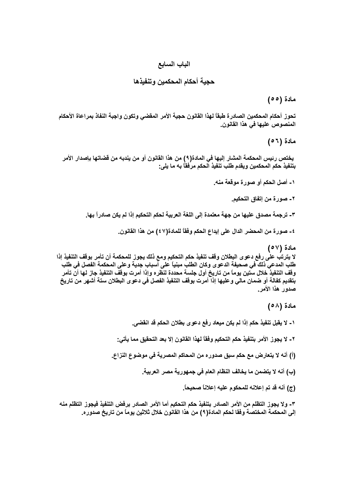## الباب السابع

حجية أحكام المحكمين وتنفيذها

مادة (٥٥)

تحوز أحكام المحكمين الصادرة طبقاً لهذا القانون حجية الأمر المقضى وتكون واجبة النفاذ بمراعاة الأحكام المنصوص عليها في هذا القانون.

مادة (٥٦)

يختص رئيس المحكمة المشار إليها في المادة( ٩) من هذا القانون أو من يندبه من قضاتها بإصدار الأمر بتنفيذ حكم المحكمين ويقدم طلب تنفيذ الحكم مرفقاً به ما يلي:

- ١- أصل الحكم أو صورة موقعة منه.
	- ٢- صورة من إتفاق التحكيم.
- ٣- ترجمة مصدق عليها من جهة معتمدة إلى اللغة العربية لحكم التحكيم إذا لم يكن صادراً بها.

٤ ــ صورة من المحضر الدال على إيداع الحكم وفقاً للمادة(٤٧) من هذا القانون.

مادة (٥٧) لا يترتب على رفع دعوى البطلان وقف تنفيذ حكم التحكيم ومع ذلك يجوز للمحكمة أن تأمر بوقف التنفيذ إذا طلب المدعي ذلك في صحيفة الدعوى وكان الطلب مبنياً على أسباب جدية وعلى المحكمة الفصل في طلب وقف التنفيذُ خلال ستين يوماً من تاريخ أول جلسة محددة لنظره وإذا أمرت بوقف التنفيذ جاز لها أنّ تأمر بتقديم كفالة أو ضمان مالى و عليها إذا أمرت بوقف التنفيذ الفصل في دعوى البطلان ستة أشهر من تاريخ صدور هذا الأمر.

مادة (٥٨)

١ ـ لا يقبل تنفيذ حكم إذا لم يكن ميعاد رفع دعوى بطلان الحكم قد انقضى.

- ٢ لا يجوز الأمر بتنفيذ حكم التحكيم وفقاً لـهذا القانون إلا بـعد التحقيق مما يأتي:
- (أ) أنه لا يتعارض مع حكم سبق صدوره من المحاكم المصرية في موضوع النزاع.
	- (ب) أنه لا يتضمن ما يخالف النظام العام في جمهورية مصر العربية.
		- (ج) أنه قد تم إعلانه للمحكوم عليه إعلاناً صحيحاً.

٣- ولا يجوز التظلم من الأمر الصادر بتنفيذ حكم التحكيم أما الأمر الصادر برفض التنفيذ فيجوز التظلم منه إلى المحكمة المختصة وفقا لحكم المادة(٩) من هذا القانون خلال ثلاثين يوماً من تاريخ صدوره.